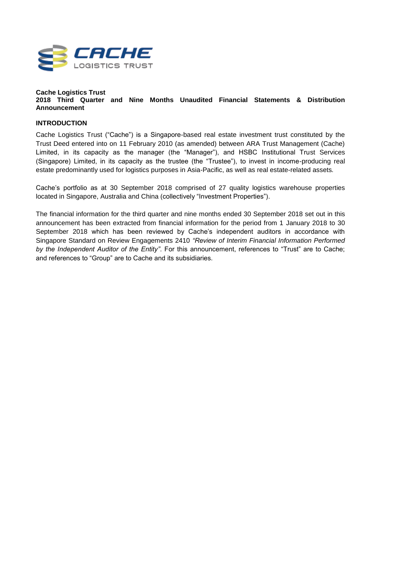

#### **Cache Logistics Trust 2018 Third Quarter and Nine Months Unaudited Financial Statements & Distribution Announcement**

## **INTRODUCTION**

Cache Logistics Trust ("Cache") is a Singapore-based real estate investment trust constituted by the Trust Deed entered into on 11 February 2010 (as amended) between ARA Trust Management (Cache) Limited, in its capacity as the manager (the "Manager"), and HSBC Institutional Trust Services (Singapore) Limited, in its capacity as the trustee (the "Trustee"), to invest in income-producing real estate predominantly used for logistics purposes in Asia-Pacific, as well as real estate-related assets*.*

Cache's portfolio as at 30 September 2018 comprised of 27 quality logistics warehouse properties located in Singapore, Australia and China (collectively "Investment Properties").

The financial information for the third quarter and nine months ended 30 September 2018 set out in this announcement has been extracted from financial information for the period from 1 January 2018 to 30 September 2018 which has been reviewed by Cache's independent auditors in accordance with Singapore Standard on Review Engagements 2410 *"Review of Interim Financial Information Performed by the Independent Auditor of the Entity"*. For this announcement, references to "Trust" are to Cache; and references to "Group" are to Cache and its subsidiaries.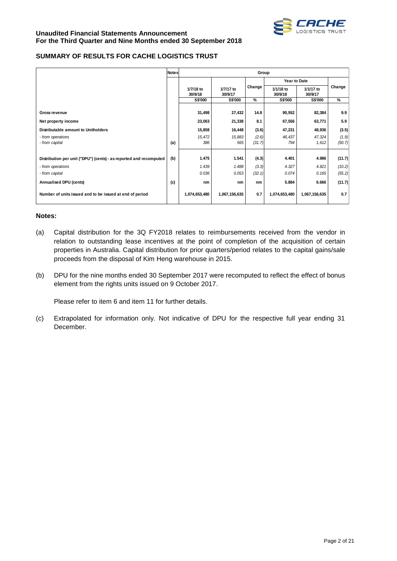

## **SUMMARY OF RESULTS FOR CACHE LOGISTICS TRUST**

|                                                                    | <b>Notes</b> |                           |                           | Group  |                           |                           |        |
|--------------------------------------------------------------------|--------------|---------------------------|---------------------------|--------|---------------------------|---------------------------|--------|
|                                                                    |              |                           |                           |        | Year to Date              |                           |        |
|                                                                    |              | 1/7/18 to                 | 1/7/17 to                 | Change | 1/1/18 to                 | 1/1/17 to                 | Change |
|                                                                    |              | 30/9/18<br><b>S\$'000</b> | 30/9/17<br><b>S\$'000</b> | %      | 30/9/18<br><b>S\$'000</b> | 30/9/17<br><b>S\$'000</b> | %      |
|                                                                    |              |                           |                           |        |                           |                           |        |
| <b>Gross revenue</b>                                               |              | 31,498                    | 27,432                    | 14.8   | 90,552                    | 82,384                    | 9.9    |
| Net property income                                                |              | 23,063                    | 21,338                    | 8.1    | 67,556                    | 63,771                    | 5.9    |
| Distributable amount to Unitholders                                |              | 15,858                    | 16,448                    | (3.6)  | 47,231                    | 48,936                    | (3.5)  |
| - from operations                                                  |              | 15,472                    | 15,883                    | (2.6)  | 46,437                    | 47,324                    | (1.9)  |
| - from capital                                                     | (a)          | 386                       | 565                       | (31.7) | 794                       | 1,612                     | (50.7) |
|                                                                    |              |                           |                           |        |                           |                           |        |
| Distribution per unit ("DPU") (cents) - as reported and recomputed | (b)          | 1.475                     | 1.541                     | (4.3)  | 4.401                     | 4.986                     | (11.7) |
| - from operations                                                  |              | 1.439                     | 1.488                     | (3.3)  | 4.327                     | 4.821                     | (10.2) |
| - from capital                                                     |              | 0.036                     | 0.053                     | (32.1) | 0.074                     | 0.165                     | (55.2) |
| Annualised DPU (cents)                                             | (c)          | nm                        | nm                        | nm     | 5.884                     | 6.666                     | (11.7) |
| Number of units issued and to be issued at end of period           |              | 1,074,653,480             | 1,067,156,635             | 0.7    | 1,074,653,480             | 1,067,156,635             | 0.7    |

#### **Notes:**

- (a) Capital distribution for the 3Q FY2018 relates to reimbursements received from the vendor in relation to outstanding lease incentives at the point of completion of the acquisition of certain properties in Australia. Capital distribution for prior quarters/period relates to the capital gains/sale proceeds from the disposal of Kim Heng warehouse in 2015.
- (b) DPU for the nine months ended 30 September 2017 were recomputed to reflect the effect of bonus element from the rights units issued on 9 October 2017.

Please refer to item 6 and item 11 for further details.

(c) Extrapolated for information only. Not indicative of DPU for the respective full year ending 31 December.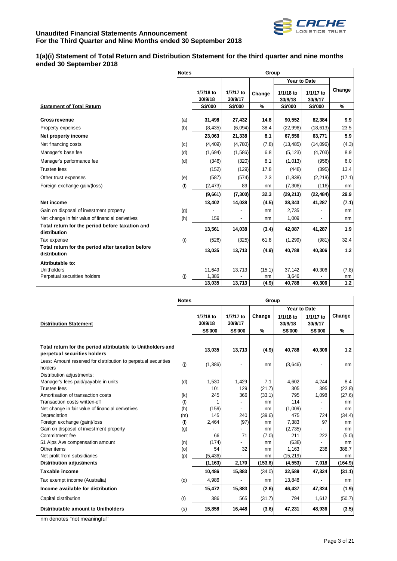

## **1(a)(i) Statement of Total Return and Distribution Statement for the third quarter and nine months ended 30 September 2018**

| <b>Notes</b> |                      |                      |               |                      |                          |                        |
|--------------|----------------------|----------------------|---------------|----------------------|--------------------------|------------------------|
|              |                      |                      |               |                      |                          |                        |
|              | 1/7/18 to<br>30/9/18 | 1/7/17 to<br>30/9/17 | Change        | 1/1/18 to<br>30/9/18 | 1/1/17 to<br>30/9/17     | Change                 |
|              | <b>S\$'000</b>       | <b>S\$'000</b>       | $\frac{9}{6}$ | <b>S\$'000</b>       | <b>S\$'000</b>           | $\%$                   |
| (a)          | 31,498               | 27,432               | 14.8          | 90,552               | 82,384                   | 9.9                    |
| (b)          | (8, 435)             | (6,094)              | 38.4          | (22,996)             | (18, 613)                | 23.5                   |
|              | 23,063               | 21,338               | 8.1           | 67,556               | 63,771                   | 5.9                    |
| (c)          | (4, 409)             | (4,780)              | (7.8)         | (13, 485)            | (14,096)                 | (4.3)                  |
| (d)          | (1,694)              | (1,586)              | 6.8           | (5, 123)             | (4,703)                  | 8.9                    |
| (d)          | (346)                | (320)                | 8.1           | (1,013)              | (956)                    | 6.0                    |
|              | (152)                | (129)                | 17.8          | (448)                | (395)                    | 13.4                   |
| (e)          | (587)                | (574)                | 2.3           | (1, 838)             | (2, 218)                 | (17.1)                 |
| (f)          | (2, 473)             | 89                   | nm            | (7,306)              | (116)                    | nm                     |
|              | (9,661)              | (7, 300)             | 32.3          | (29, 213)            | (22, 484)                | 29.9                   |
|              | 13,402               | 14,038               | (4.5)         | 38,343               | 41,287                   | (7.1)                  |
| (g)          |                      |                      | nm            | 2,735                |                          | nm                     |
| (h)          | 159                  | ÷,                   | nm            | 1,009                |                          | nm                     |
|              | 13,561               | 14,038               | (3.4)         | 42,087               | 41,287                   | 1.9                    |
| (i)          | (526)                | (325)                | 61.8          | (1, 299)             | (981)                    | 32.4                   |
|              | 13,035               | 13,713               | (4.9)         | 40,788               | 40,306                   | 1.2                    |
|              |                      |                      |               |                      |                          |                        |
|              | 11,649               | 13,713               | (15.1)        | 37,142               | 40,306                   | (7.8)                  |
|              |                      |                      | nm            |                      |                          | nm<br>$1.2$            |
|              | (i)                  | 1,386<br>13,035      | 13,713        | (4.9)                | Group<br>3,646<br>40,788 | Year to Date<br>40,306 |

|                                                                                             | <b>Notes</b> |                |                          | Group   |                     |                          |         |
|---------------------------------------------------------------------------------------------|--------------|----------------|--------------------------|---------|---------------------|--------------------------|---------|
|                                                                                             |              |                |                          |         | <b>Year to Date</b> |                          |         |
|                                                                                             |              | 1/7/18 to      | 1/7/17 to                | Change  | 1/1/18 to           | 1/1/17 to                | Change  |
| <b>Distribution Statement</b>                                                               |              | 30/9/18        | 30/9/17                  |         | 30/9/18             | 30/9/17                  |         |
|                                                                                             |              | <b>S\$'000</b> | <b>S\$'000</b>           | $\%$    | <b>S\$'000</b>      | <b>S\$'000</b>           | %       |
|                                                                                             |              |                |                          |         |                     |                          |         |
| Total return for the period attributable to Unitholders and<br>perpetual securities holders |              | 13,035         | 13,713                   | (4.9)   | 40,788              | 40,306                   | $1.2$   |
|                                                                                             |              |                |                          |         |                     |                          |         |
| Less: Amount reserved for distribution to perpetual securities<br>holders                   | (j)          | (1,386)        |                          | nm      | (3,646)             |                          | nm      |
| Distribution adjustments:                                                                   |              |                |                          |         |                     |                          |         |
| Manager's fees paid/payable in units                                                        | (d)          | 1,530          | 1,429                    | 7.1     | 4.602               | 4,244                    | 8.4     |
| <b>Trustee fees</b>                                                                         |              | 101            | 129                      | (21.7)  | 305                 | 395                      | (22.8)  |
| Amortisation of transaction costs                                                           | (k)          | 245            | 366                      | (33.1)  | 795                 | 1,098                    | (27.6)  |
| Transaction costs written-off                                                               | $($ l $)$    | 1              |                          | nm      | 114                 |                          | nm      |
| Net change in fair value of financial derivatives                                           | (h)          | (159)          | $\overline{\phantom{a}}$ | nm      | (1,009)             | $\overline{\phantom{0}}$ | nm      |
| Depreciation                                                                                | (m)          | 145            | 240                      | (39.6)  | 475                 | 724                      | (34.4)  |
| Foreign exchange (gain)/loss                                                                | (f)          | 2,464          | (97)                     | nm      | 7,383               | 97                       | nm      |
| Gain on disposal of investment property                                                     | (g)          |                |                          | nm      | (2,735)             |                          | nm      |
| Commitment fee                                                                              |              | 66             | 71                       | (7.0)   | 211                 | 222                      | (5.0)   |
| 51 Alps Ave compensation amount                                                             | (n)          | (174)          |                          | nm      | (638)               |                          | nm      |
| Other items                                                                                 | (0)          | 54             | 32                       | nm      | 1,163               | 238                      | 388.7   |
| Net profit from subsidiaries                                                                | (p)          | (5, 436)       |                          | nm      | (15, 219)           |                          | nm      |
| <b>Distribution adjustments</b>                                                             |              | (1, 163)       | 2,170                    | (153.6) | (4, 553)            | 7,018                    | (164.9) |
| Taxable income                                                                              |              | 10,486         | 15,883                   | (34.0)  | 32,589              | 47,324                   | (31.1)  |
| Tax exempt income (Australia)                                                               | (q)          | 4,986          |                          | nm      | 13,848              |                          | nm      |
| Income available for distribution                                                           |              | 15,472         | 15,883                   | (2.6)   | 46,437              | 47,324                   | (1.9)   |
| Capital distribution                                                                        | (r)          | 386            | 565                      | (31.7)  | 794                 | 1,612                    | (50.7)  |
| <b>Distributable amount to Unitholders</b>                                                  | (s)          | 15,858         | 16,448                   | (3.6)   | 47,231              | 48,936                   | (3.5)   |

nm denotes "not meaningful"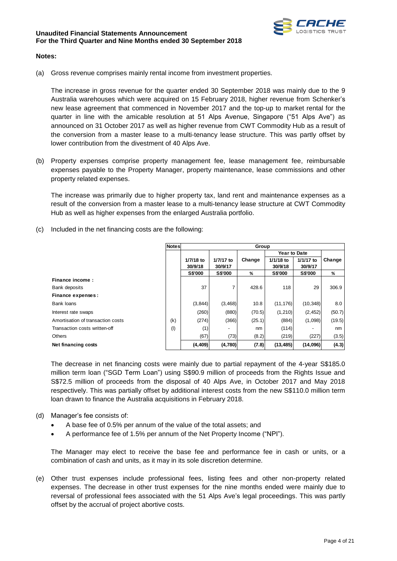

## **Notes:**

(a) Gross revenue comprises mainly rental income from investment properties.

The increase in gross revenue for the quarter ended 30 September 2018 was mainly due to the 9 Australia warehouses which were acquired on 15 February 2018, higher revenue from Schenker's new lease agreement that commenced in November 2017 and the top-up to market rental for the quarter in line with the amicable resolution at 51 Alps Avenue, Singapore ("51 Alps Ave") as announced on 31 October 2017 as well as higher revenue from CWT Commodity Hub as a result of the conversion from a master lease to a multi-tenancy lease structure. This was partly offset by lower contribution from the divestment of 40 Alps Ave.

(b) Property expenses comprise property management fee, lease management fee, reimbursable expenses payable to the Property Manager, property maintenance, lease commissions and other property related expenses.

The increase was primarily due to higher property tax, land rent and maintenance expenses as a result of the conversion from a master lease to a multi-tenancy lease structure at CWT Commodity Hub as well as higher expenses from the enlarged Australia portfolio.

(c) Included in the net financing costs are the following:

|                                   | Notes | Group          |           |        |                     |                |        |
|-----------------------------------|-------|----------------|-----------|--------|---------------------|----------------|--------|
|                                   |       |                |           |        | <b>Year to Date</b> |                |        |
|                                   |       | 1/7/18 to      | 1/7/17 to | Change | 1/1/18 to           | 1/1/17 to      | Change |
|                                   |       | 30/9/18        | 30/9/17   |        | 30/9/18             | 30/9/17        |        |
|                                   |       | <b>S\$'000</b> | S\$'000   | ℅      | <b>S\$'000</b>      | <b>S\$'000</b> | %      |
| Finance income:                   |       |                |           |        |                     |                |        |
| Bank deposits                     |       | 37             | 7         | 428.6  | 118                 | 29             | 306.9  |
| Finance expenses:                 |       |                |           |        |                     |                |        |
| Bank loans                        |       | (3, 844)       | (3, 468)  | 10.8   | (11, 176)           | (10, 348)      | 8.0    |
| Interest rate swaps               |       | (260)          | (880)     | (70.5) | (1, 210)            | (2, 452)       | (50.7) |
| Amortisation of transaction costs | (k)   | (274)          | (366)     | (25.1) | (884)               | (1,098)        | (19.5) |
| Transaction costs written-off     | (1)   | (1)            |           | nm     | (114)               |                | nm     |
| <b>Others</b>                     |       | (67)           | (73)      | (8.2)  | (219)               | (227)          | (3.5)  |
| Net financing costs               |       | (4, 409)       | (4,780)   | (7.8)  | (13, 485)           | (14,096)       | (4.3)  |

The decrease in net financing costs were mainly due to partial repayment of the 4-year S\$185.0 million term loan ("SGD Term Loan") using S\$90.9 million of proceeds from the Rights Issue and S\$72.5 million of proceeds from the disposal of 40 Alps Ave, in October 2017 and May 2018 respectively. This was partially offset by additional interest costs from the new S\$110.0 million term loan drawn to finance the Australia acquisitions in February 2018.

- (d) Manager's fee consists of:
	- A base fee of 0.5% per annum of the value of the total assets; and
	- A performance fee of 1.5% per annum of the Net Property Income ("NPI").

The Manager may elect to receive the base fee and performance fee in cash or units, or a combination of cash and units, as it may in its sole discretion determine.

(e) Other trust expenses include professional fees, listing fees and other non-property related expenses. The decrease in other trust expenses for the nine months ended were mainly due to reversal of professional fees associated with the 51 Alps Ave's legal proceedings. This was partly offset by the accrual of project abortive costs.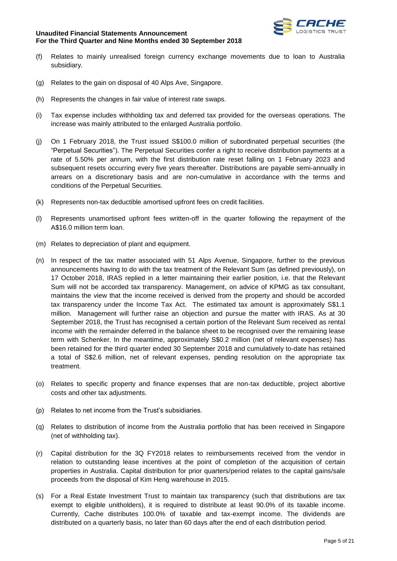

- (f) Relates to mainly unrealised foreign currency exchange movements due to loan to Australia subsidiary.
- (g) Relates to the gain on disposal of 40 Alps Ave, Singapore.
- (h) Represents the changes in fair value of interest rate swaps.
- (i) Tax expense includes withholding tax and deferred tax provided for the overseas operations. The increase was mainly attributed to the enlarged Australia portfolio.
- (j) On 1 February 2018, the Trust issued S\$100.0 million of subordinated perpetual securities (the "Perpetual Securities"). The Perpetual Securities confer a right to receive distribution payments at a rate of 5.50% per annum, with the first distribution rate reset falling on 1 February 2023 and subsequent resets occurring every five years thereafter. Distributions are payable semi-annually in arrears on a discretionary basis and are non-cumulative in accordance with the terms and conditions of the Perpetual Securities.
- (k) Represents non-tax deductible amortised upfront fees on credit facilities.
- (l) Represents unamortised upfront fees written-off in the quarter following the repayment of the A\$16.0 million term loan.
- (m) Relates to depreciation of plant and equipment.
- (n) In respect of the tax matter associated with 51 Alps Avenue, Singapore, further to the previous announcements having to do with the tax treatment of the Relevant Sum (as defined previously), on 17 October 2018, IRAS replied in a letter maintaining their earlier position, i.e. that the Relevant Sum will not be accorded tax transparency. Management, on advice of KPMG as tax consultant, maintains the view that the income received is derived from the property and should be accorded tax transparency under the Income Tax Act. The estimated tax amount is approximately S\$1.1 million. Management will further raise an objection and pursue the matter with IRAS. As at 30 September 2018, the Trust has recognised a certain portion of the Relevant Sum received as rental income with the remainder deferred in the balance sheet to be recognised over the remaining lease term with Schenker. In the meantime, approximately S\$0.2 million (net of relevant expenses) has been retained for the third quarter ended 30 September 2018 and cumulatively to-date has retained a total of S\$2.6 million, net of relevant expenses, pending resolution on the appropriate tax treatment.
- (o) Relates to specific property and finance expenses that are non-tax deductible, project abortive costs and other tax adjustments.
- (p) Relates to net income from the Trust's subsidiaries.
- (q) Relates to distribution of income from the Australia portfolio that has been received in Singapore (net of withholding tax).
- (r) Capital distribution for the 3Q FY2018 relates to reimbursements received from the vendor in relation to outstanding lease incentives at the point of completion of the acquisition of certain properties in Australia. Capital distribution for prior quarters/period relates to the capital gains/sale proceeds from the disposal of Kim Heng warehouse in 2015.
- (s) For a Real Estate Investment Trust to maintain tax transparency (such that distributions are tax exempt to eligible unitholders), it is required to distribute at least 90.0% of its taxable income. Currently, Cache distributes 100.0% of taxable and tax-exempt income. The dividends are distributed on a quarterly basis, no later than 60 days after the end of each distribution period.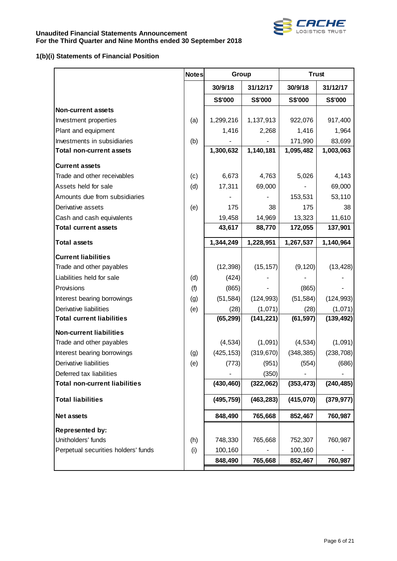

# **1(b)(i) Statements of Financial Position**

| 30/9/18<br>31/12/17<br>30/9/18<br>31/12/17<br>S\$'000<br>S\$'000<br>S\$'000<br>S\$'000<br><b>Non-current assets</b><br>1,299,216<br>1,137,913<br>922,076<br>917,400<br>Investment properties<br>(a)<br>Plant and equipment<br>1,416<br>1,416<br>1,964<br>2,268<br>Investments in subsidiaries<br>(b)<br>171,990<br>83,699<br>1,300,632<br>1,140,181<br>1,095,482<br>1,003,063<br><b>Total non-current assets</b><br><b>Current assets</b><br>Trade and other receivables<br>6,673<br>5,026<br>4,143<br>(c)<br>4,763<br>69,000<br>Assets held for sale<br>(d)<br>17,311<br>69,000<br>Amounts due from subsidiaries<br>53,110<br>153,531<br>Derivative assets<br>38<br>175<br>(e)<br>175<br>38<br>Cash and cash equivalents<br>19,458<br>14,969<br>13,323<br>11,610<br>43,617<br>88,770<br>172,055<br>137,901<br><b>Total current assets</b><br>1,344,249<br>1,228,951<br>1,140,964<br>1,267,537<br><b>Total assets</b><br><b>Current liabilities</b><br>(12, 398)<br>Trade and other payables<br>(15, 157)<br>(9, 120)<br>Liabilities held for sale<br>(424)<br>(d)<br>Provisions<br>(f)<br>(865)<br>(865)<br>(51, 584)<br>Interest bearing borrowings<br>(g)<br>(51, 584)<br>(124, 993)<br>Derivative liabilities<br>(e)<br>(28)<br>(28)<br>(1,071)<br>(65, 299)<br>(141, 221)<br>(61, 597)<br><b>Total current liabilities</b><br><b>Non-current liabilities</b><br>Trade and other payables<br>(1,091)<br>(4, 534)<br>(4,534)<br>(425, 153)<br>(319, 670)<br>(348, 385)<br>Interest bearing borrowings<br>(g)<br>(554)<br>Derivative liabilities<br>(e)<br>(773)<br>(951)<br>(350)<br>Deferred tax liabilities<br>(322,062)<br>(430, 460)<br>(353, 473)<br>(240, 485)<br><b>Total non-current liabilities</b><br>(415,070)<br><b>Total liabilities</b><br>(495, 759)<br>(463, 283)<br>848,490<br>765,668<br>852,467<br>760,987<br>Net assets<br>Represented by:<br>Unitholders' funds<br>748,330<br>765,668<br>(h)<br>752,307<br>760,987<br>Perpetual securities holders' funds<br>(i)<br>100,160<br>100,160<br>848,490<br>765,668<br>852,467<br>760,987 | <b>Notes</b> | Group | <b>Trust</b> |            |
|------------------------------------------------------------------------------------------------------------------------------------------------------------------------------------------------------------------------------------------------------------------------------------------------------------------------------------------------------------------------------------------------------------------------------------------------------------------------------------------------------------------------------------------------------------------------------------------------------------------------------------------------------------------------------------------------------------------------------------------------------------------------------------------------------------------------------------------------------------------------------------------------------------------------------------------------------------------------------------------------------------------------------------------------------------------------------------------------------------------------------------------------------------------------------------------------------------------------------------------------------------------------------------------------------------------------------------------------------------------------------------------------------------------------------------------------------------------------------------------------------------------------------------------------------------------------------------------------------------------------------------------------------------------------------------------------------------------------------------------------------------------------------------------------------------------------------------------------------------------------------------------------------------------------------------------------------------------------------------------------------------------------------------------------------------|--------------|-------|--------------|------------|
|                                                                                                                                                                                                                                                                                                                                                                                                                                                                                                                                                                                                                                                                                                                                                                                                                                                                                                                                                                                                                                                                                                                                                                                                                                                                                                                                                                                                                                                                                                                                                                                                                                                                                                                                                                                                                                                                                                                                                                                                                                                            |              |       |              |            |
|                                                                                                                                                                                                                                                                                                                                                                                                                                                                                                                                                                                                                                                                                                                                                                                                                                                                                                                                                                                                                                                                                                                                                                                                                                                                                                                                                                                                                                                                                                                                                                                                                                                                                                                                                                                                                                                                                                                                                                                                                                                            |              |       |              |            |
|                                                                                                                                                                                                                                                                                                                                                                                                                                                                                                                                                                                                                                                                                                                                                                                                                                                                                                                                                                                                                                                                                                                                                                                                                                                                                                                                                                                                                                                                                                                                                                                                                                                                                                                                                                                                                                                                                                                                                                                                                                                            |              |       |              |            |
|                                                                                                                                                                                                                                                                                                                                                                                                                                                                                                                                                                                                                                                                                                                                                                                                                                                                                                                                                                                                                                                                                                                                                                                                                                                                                                                                                                                                                                                                                                                                                                                                                                                                                                                                                                                                                                                                                                                                                                                                                                                            |              |       |              |            |
|                                                                                                                                                                                                                                                                                                                                                                                                                                                                                                                                                                                                                                                                                                                                                                                                                                                                                                                                                                                                                                                                                                                                                                                                                                                                                                                                                                                                                                                                                                                                                                                                                                                                                                                                                                                                                                                                                                                                                                                                                                                            |              |       |              |            |
|                                                                                                                                                                                                                                                                                                                                                                                                                                                                                                                                                                                                                                                                                                                                                                                                                                                                                                                                                                                                                                                                                                                                                                                                                                                                                                                                                                                                                                                                                                                                                                                                                                                                                                                                                                                                                                                                                                                                                                                                                                                            |              |       |              |            |
|                                                                                                                                                                                                                                                                                                                                                                                                                                                                                                                                                                                                                                                                                                                                                                                                                                                                                                                                                                                                                                                                                                                                                                                                                                                                                                                                                                                                                                                                                                                                                                                                                                                                                                                                                                                                                                                                                                                                                                                                                                                            |              |       |              |            |
|                                                                                                                                                                                                                                                                                                                                                                                                                                                                                                                                                                                                                                                                                                                                                                                                                                                                                                                                                                                                                                                                                                                                                                                                                                                                                                                                                                                                                                                                                                                                                                                                                                                                                                                                                                                                                                                                                                                                                                                                                                                            |              |       |              |            |
|                                                                                                                                                                                                                                                                                                                                                                                                                                                                                                                                                                                                                                                                                                                                                                                                                                                                                                                                                                                                                                                                                                                                                                                                                                                                                                                                                                                                                                                                                                                                                                                                                                                                                                                                                                                                                                                                                                                                                                                                                                                            |              |       |              |            |
|                                                                                                                                                                                                                                                                                                                                                                                                                                                                                                                                                                                                                                                                                                                                                                                                                                                                                                                                                                                                                                                                                                                                                                                                                                                                                                                                                                                                                                                                                                                                                                                                                                                                                                                                                                                                                                                                                                                                                                                                                                                            |              |       |              |            |
|                                                                                                                                                                                                                                                                                                                                                                                                                                                                                                                                                                                                                                                                                                                                                                                                                                                                                                                                                                                                                                                                                                                                                                                                                                                                                                                                                                                                                                                                                                                                                                                                                                                                                                                                                                                                                                                                                                                                                                                                                                                            |              |       |              |            |
|                                                                                                                                                                                                                                                                                                                                                                                                                                                                                                                                                                                                                                                                                                                                                                                                                                                                                                                                                                                                                                                                                                                                                                                                                                                                                                                                                                                                                                                                                                                                                                                                                                                                                                                                                                                                                                                                                                                                                                                                                                                            |              |       |              |            |
|                                                                                                                                                                                                                                                                                                                                                                                                                                                                                                                                                                                                                                                                                                                                                                                                                                                                                                                                                                                                                                                                                                                                                                                                                                                                                                                                                                                                                                                                                                                                                                                                                                                                                                                                                                                                                                                                                                                                                                                                                                                            |              |       |              |            |
|                                                                                                                                                                                                                                                                                                                                                                                                                                                                                                                                                                                                                                                                                                                                                                                                                                                                                                                                                                                                                                                                                                                                                                                                                                                                                                                                                                                                                                                                                                                                                                                                                                                                                                                                                                                                                                                                                                                                                                                                                                                            |              |       |              |            |
|                                                                                                                                                                                                                                                                                                                                                                                                                                                                                                                                                                                                                                                                                                                                                                                                                                                                                                                                                                                                                                                                                                                                                                                                                                                                                                                                                                                                                                                                                                                                                                                                                                                                                                                                                                                                                                                                                                                                                                                                                                                            |              |       |              |            |
|                                                                                                                                                                                                                                                                                                                                                                                                                                                                                                                                                                                                                                                                                                                                                                                                                                                                                                                                                                                                                                                                                                                                                                                                                                                                                                                                                                                                                                                                                                                                                                                                                                                                                                                                                                                                                                                                                                                                                                                                                                                            |              |       |              |            |
|                                                                                                                                                                                                                                                                                                                                                                                                                                                                                                                                                                                                                                                                                                                                                                                                                                                                                                                                                                                                                                                                                                                                                                                                                                                                                                                                                                                                                                                                                                                                                                                                                                                                                                                                                                                                                                                                                                                                                                                                                                                            |              |       |              | (13, 428)  |
|                                                                                                                                                                                                                                                                                                                                                                                                                                                                                                                                                                                                                                                                                                                                                                                                                                                                                                                                                                                                                                                                                                                                                                                                                                                                                                                                                                                                                                                                                                                                                                                                                                                                                                                                                                                                                                                                                                                                                                                                                                                            |              |       |              |            |
|                                                                                                                                                                                                                                                                                                                                                                                                                                                                                                                                                                                                                                                                                                                                                                                                                                                                                                                                                                                                                                                                                                                                                                                                                                                                                                                                                                                                                                                                                                                                                                                                                                                                                                                                                                                                                                                                                                                                                                                                                                                            |              |       |              |            |
|                                                                                                                                                                                                                                                                                                                                                                                                                                                                                                                                                                                                                                                                                                                                                                                                                                                                                                                                                                                                                                                                                                                                                                                                                                                                                                                                                                                                                                                                                                                                                                                                                                                                                                                                                                                                                                                                                                                                                                                                                                                            |              |       |              | (124, 993) |
|                                                                                                                                                                                                                                                                                                                                                                                                                                                                                                                                                                                                                                                                                                                                                                                                                                                                                                                                                                                                                                                                                                                                                                                                                                                                                                                                                                                                                                                                                                                                                                                                                                                                                                                                                                                                                                                                                                                                                                                                                                                            |              |       |              | (1,071)    |
|                                                                                                                                                                                                                                                                                                                                                                                                                                                                                                                                                                                                                                                                                                                                                                                                                                                                                                                                                                                                                                                                                                                                                                                                                                                                                                                                                                                                                                                                                                                                                                                                                                                                                                                                                                                                                                                                                                                                                                                                                                                            |              |       |              | (139, 492) |
|                                                                                                                                                                                                                                                                                                                                                                                                                                                                                                                                                                                                                                                                                                                                                                                                                                                                                                                                                                                                                                                                                                                                                                                                                                                                                                                                                                                                                                                                                                                                                                                                                                                                                                                                                                                                                                                                                                                                                                                                                                                            |              |       |              |            |
|                                                                                                                                                                                                                                                                                                                                                                                                                                                                                                                                                                                                                                                                                                                                                                                                                                                                                                                                                                                                                                                                                                                                                                                                                                                                                                                                                                                                                                                                                                                                                                                                                                                                                                                                                                                                                                                                                                                                                                                                                                                            |              |       |              | (1,091)    |
|                                                                                                                                                                                                                                                                                                                                                                                                                                                                                                                                                                                                                                                                                                                                                                                                                                                                                                                                                                                                                                                                                                                                                                                                                                                                                                                                                                                                                                                                                                                                                                                                                                                                                                                                                                                                                                                                                                                                                                                                                                                            |              |       |              | (238, 708) |
|                                                                                                                                                                                                                                                                                                                                                                                                                                                                                                                                                                                                                                                                                                                                                                                                                                                                                                                                                                                                                                                                                                                                                                                                                                                                                                                                                                                                                                                                                                                                                                                                                                                                                                                                                                                                                                                                                                                                                                                                                                                            |              |       |              | (686)      |
|                                                                                                                                                                                                                                                                                                                                                                                                                                                                                                                                                                                                                                                                                                                                                                                                                                                                                                                                                                                                                                                                                                                                                                                                                                                                                                                                                                                                                                                                                                                                                                                                                                                                                                                                                                                                                                                                                                                                                                                                                                                            |              |       |              |            |
|                                                                                                                                                                                                                                                                                                                                                                                                                                                                                                                                                                                                                                                                                                                                                                                                                                                                                                                                                                                                                                                                                                                                                                                                                                                                                                                                                                                                                                                                                                                                                                                                                                                                                                                                                                                                                                                                                                                                                                                                                                                            |              |       |              |            |
|                                                                                                                                                                                                                                                                                                                                                                                                                                                                                                                                                                                                                                                                                                                                                                                                                                                                                                                                                                                                                                                                                                                                                                                                                                                                                                                                                                                                                                                                                                                                                                                                                                                                                                                                                                                                                                                                                                                                                                                                                                                            |              |       |              | (379, 977) |
|                                                                                                                                                                                                                                                                                                                                                                                                                                                                                                                                                                                                                                                                                                                                                                                                                                                                                                                                                                                                                                                                                                                                                                                                                                                                                                                                                                                                                                                                                                                                                                                                                                                                                                                                                                                                                                                                                                                                                                                                                                                            |              |       |              |            |
|                                                                                                                                                                                                                                                                                                                                                                                                                                                                                                                                                                                                                                                                                                                                                                                                                                                                                                                                                                                                                                                                                                                                                                                                                                                                                                                                                                                                                                                                                                                                                                                                                                                                                                                                                                                                                                                                                                                                                                                                                                                            |              |       |              |            |
|                                                                                                                                                                                                                                                                                                                                                                                                                                                                                                                                                                                                                                                                                                                                                                                                                                                                                                                                                                                                                                                                                                                                                                                                                                                                                                                                                                                                                                                                                                                                                                                                                                                                                                                                                                                                                                                                                                                                                                                                                                                            |              |       |              |            |
|                                                                                                                                                                                                                                                                                                                                                                                                                                                                                                                                                                                                                                                                                                                                                                                                                                                                                                                                                                                                                                                                                                                                                                                                                                                                                                                                                                                                                                                                                                                                                                                                                                                                                                                                                                                                                                                                                                                                                                                                                                                            |              |       |              |            |
|                                                                                                                                                                                                                                                                                                                                                                                                                                                                                                                                                                                                                                                                                                                                                                                                                                                                                                                                                                                                                                                                                                                                                                                                                                                                                                                                                                                                                                                                                                                                                                                                                                                                                                                                                                                                                                                                                                                                                                                                                                                            |              |       |              |            |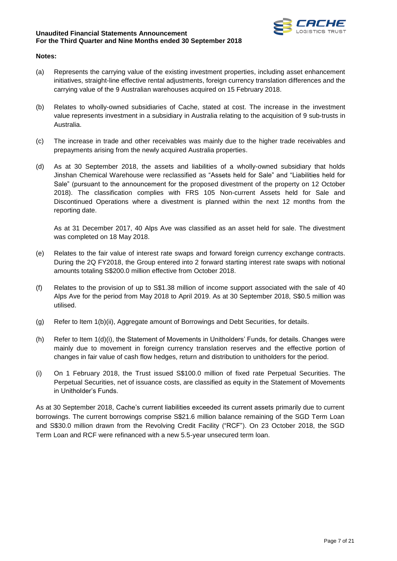

## **Notes:**

- (a) Represents the carrying value of the existing investment properties, including asset enhancement initiatives, straight-line effective rental adjustments, foreign currency translation differences and the carrying value of the 9 Australian warehouses acquired on 15 February 2018.
- (b) Relates to wholly-owned subsidiaries of Cache, stated at cost. The increase in the investment value represents investment in a subsidiary in Australia relating to the acquisition of 9 sub-trusts in Australia.
- (c) The increase in trade and other receivables was mainly due to the higher trade receivables and prepayments arising from the newly acquired Australia properties.
- (d) As at 30 September 2018, the assets and liabilities of a wholly-owned subsidiary that holds Jinshan Chemical Warehouse were reclassified as "Assets held for Sale" and "Liabilities held for Sale" (pursuant to the announcement for the proposed divestment of the property on 12 October 2018). The classification complies with FRS 105 Non-current Assets held for Sale and Discontinued Operations where a divestment is planned within the next 12 months from the reporting date.

As at 31 December 2017, 40 Alps Ave was classified as an asset held for sale. The divestment was completed on 18 May 2018.

- (e) Relates to the fair value of interest rate swaps and forward foreign currency exchange contracts. During the 2Q FY2018, the Group entered into 2 forward starting interest rate swaps with notional amounts totaling S\$200.0 million effective from October 2018.
- (f) Relates to the provision of up to S\$1.38 million of income support associated with the sale of 40 Alps Ave for the period from May 2018 to April 2019. As at 30 September 2018, S\$0.5 million was utilised.
- (g) Refer to Item 1(b)(ii), Aggregate amount of Borrowings and Debt Securities, for details.
- (h) Refer to Item 1(d)(i), the Statement of Movements in Unitholders' Funds, for details. Changes were mainly due to movement in foreign currency translation reserves and the effective portion of changes in fair value of cash flow hedges, return and distribution to unitholders for the period.
- (i) On 1 February 2018, the Trust issued S\$100.0 million of fixed rate Perpetual Securities. The Perpetual Securities, net of issuance costs, are classified as equity in the Statement of Movements in Unitholder's Funds.

As at 30 September 2018, Cache's current liabilities exceeded its current assets primarily due to current borrowings. The current borrowings comprise S\$21.6 million balance remaining of the SGD Term Loan and S\$30.0 million drawn from the Revolving Credit Facility ("RCF"). On 23 October 2018, the SGD Term Loan and RCF were refinanced with a new 5.5-year unsecured term loan.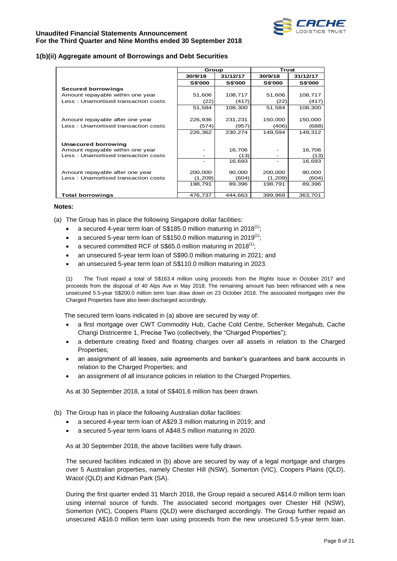

## **1(b)(ii) Aggregate amount of Borrowings and Debt Securities**

|                                     | Group          |                | Trust          |                |
|-------------------------------------|----------------|----------------|----------------|----------------|
|                                     | 30/9/18        | 31/12/17       | 30/9/18        | 31/12/17       |
|                                     | <b>S\$'000</b> | <b>S\$'000</b> | <b>S\$'000</b> | <b>S\$'000</b> |
| <b>Secured borrowings</b>           |                |                |                |                |
| Amount repayable within one year    | 51,606         | 108,717        | 51,606         | 108,717        |
| Less: Unamortised transaction costs | (22)           | (417)          | (22)           | (417)          |
|                                     | 51,584         | 108,300        | 51,584         | 108,300        |
|                                     |                |                |                |                |
| Amount repayable after one year     | 226,936        | 231,231        | 150,000        | 150,000        |
| Less: Unamortised transaction costs | (574)          | (957)          | (406)          | (688)          |
|                                     | 226,362        | 230,274        | 149,594        | 149,312        |
|                                     |                |                |                |                |
| Unsecured borrowing                 |                |                |                |                |
| Amount repayable within one year    |                | 16,706         |                | 16,706         |
| Less: Unamortised transaction costs |                | (13)           |                | (13)           |
|                                     |                | 16,693         |                | 16,693         |
|                                     |                |                |                |                |
| Amount repayable after one year     | 200,000        | 90,000         | 200,000        | 90,000         |
| Less: Unamortised transaction costs | (1,209)        | (604)          | (1,209)        | (604)          |
|                                     | 198,791        | 89,396         | 198,791        | 89,396         |
|                                     |                |                |                |                |
| <b>Total borrowings</b>             | 476,737        | 444,663        | 399,969        | 363,701        |

#### **Notes:**

- (a) The Group has in place the following Singapore dollar facilities:
	- a secured 4-year term loan of S\$185.0 million maturing in 2018<sup>(1)</sup>;
	- a secured 5-year term loan of S\$150.0 million maturing in 2019<sup>(1)</sup>;
	- a secured committed RCF of S\$65.0 million maturing in 2018 $(1)$ ;
	- an unsecured 5-year term loan of S\$90.0 million maturing in 2021; and
	- an unsecured 5-year term loan of S\$110.0 million maturing in 2023.

(1) The Trust repaid a total of S\$163.4 million using proceeds from the Rights Issue in October 2017 and proceeds from the disposal of 40 Alps Ave in May 2018. The remaining amount has been refinanced with a new unsecured 5.5-year S\$200.0 million term loan draw down on 23 October 2018. The associated mortgages over the Charged Properties have also been discharged accordingly.

The secured term loans indicated in (a) above are secured by way of:

- a first mortgage over CWT Commodity Hub, Cache Cold Centre, Schenker Megahub, Cache Changi Districentre 1, Precise Two (collectively, the "Charged Properties");
- a debenture creating fixed and floating charges over all assets in relation to the Charged Properties;
- an assignment of all leases, sale agreements and banker's guarantees and bank accounts in relation to the Charged Properties; and
- an assignment of all insurance policies in relation to the Charged Properties.

As at 30 September 2018, a total of S\$401.6 million has been drawn.

- (b) The Group has in place the following Australian dollar facilities:
	- a secured 4-year term loan of A\$29.3 million maturing in 2019; and
	- a secured 5-year term loans of A\$48.5 million maturing in 2020.

As at 30 September 2018, the above facilities were fully drawn.

The secured facilities indicated in (b) above are secured by way of a legal mortgage and charges over 5 Australian properties, namely Chester Hill (NSW), Somerton (VIC), Coopers Plains (QLD), Wacol (QLD) and Kidman Park (SA).

During the first quarter ended 31 March 2018, the Group repaid a secured A\$14.0 million term loan using internal source of funds. The associated second mortgages over Chester Hill (NSW), Somerton (VIC), Coopers Plains (QLD) were discharged accordingly. The Group further repaid an unsecured A\$16.0 million term loan using proceeds from the new unsecured 5.5-year term loan.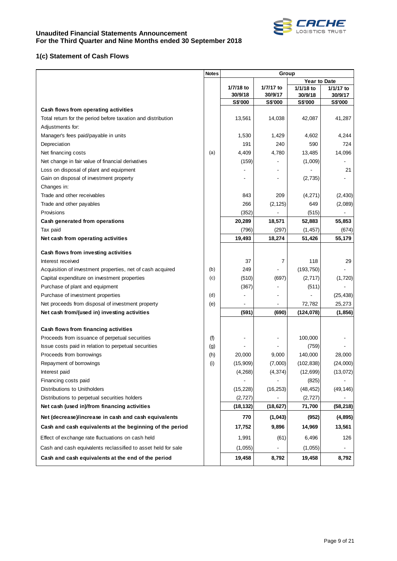

# **1(c) Statement of Cash Flows**

|                                                               | <b>Notes</b> |                    | Group              |                     |                    |
|---------------------------------------------------------------|--------------|--------------------|--------------------|---------------------|--------------------|
|                                                               |              |                    |                    | <b>Year to Date</b> |                    |
|                                                               |              | 1/7/18 to          | 1/7/17 to          | 1/1/18 to           | 1/1/17 to          |
|                                                               |              | 30/9/18<br>S\$'000 | 30/9/17<br>S\$'000 | 30/9/18<br>S\$'000  | 30/9/17<br>S\$'000 |
| Cash flows from operating activities                          |              |                    |                    |                     |                    |
| Total return for the period before taxation and distribution  |              | 13,561             | 14,038             | 42,087              | 41,287             |
| Adjustments for:                                              |              |                    |                    |                     |                    |
| Manager's fees paid/payable in units                          |              | 1,530              | 1,429              | 4,602               | 4,244              |
| Depreciation                                                  |              | 191                | 240                | 590                 | 724                |
| Net financing costs                                           | (a)          | 4,409              | 4,780              | 13,485              | 14,096             |
| Net change in fair value of financial derivatives             |              | (159)              |                    | (1,009)             |                    |
| Loss on disposal of plant and equipment                       |              |                    |                    |                     | 21                 |
| Gain on disposal of investment property                       |              |                    |                    | (2,735)             |                    |
| Changes in:                                                   |              |                    |                    |                     |                    |
| Trade and other receivables                                   |              | 843                | 209                | (4,271)             | (2, 430)           |
| Trade and other payables                                      |              | 266                | (2, 125)           | 649                 | (2,089)            |
| Provisions                                                    |              | (352)              |                    | (515)               |                    |
| Cash generated from operations                                |              | 20,289             | 18,571             | 52,883              | 55,853             |
| Tax paid                                                      |              | (796)              | (297)              | (1, 457)            | (674)              |
| Net cash from operating activities                            |              | 19,493             | 18,274             | 51,426              | 55,179             |
|                                                               |              |                    |                    |                     |                    |
| Cash flows from investing activities                          |              |                    |                    |                     |                    |
| Interest received                                             |              | 37                 | 7                  | 118                 | 29                 |
| Acquisition of investment properties, net of cash acquired    | (b)          | 249                |                    | (193, 750)          |                    |
| Capital expenditure on investment properties                  | (c)          | (510)              | (697)              | (2,717)             | (1,720)            |
| Purchase of plant and equipment                               |              | (367)              |                    | (511)               |                    |
| Purchase of investment properties                             | (d)          |                    |                    |                     | (25, 438)          |
| Net proceeds from disposal of investment property             | (e)          |                    |                    | 72,782              | 25,273             |
| Net cash from/(used in) investing activities                  |              | (591)              | (690)              | (124, 078)          | (1, 856)           |
| Cash flows from financing activities                          |              |                    |                    |                     |                    |
| Proceeds from issuance of perpetual securities                | (f)          |                    |                    | 100,000             |                    |
| Issue costs paid in relation to perpetual securities          | (g)          |                    |                    | (759)               |                    |
| Proceeds from borrowings                                      | (h)          | 20,000             | 9,000              | 140,000             | 28,000             |
| Repayment of borrowings                                       | (i)          | (15,909)           | (7,000)            | (102, 838)          | (24,000)           |
| Interest paid                                                 |              | (4, 268)           | (4, 374)           | (12, 699)           | (13,072)           |
| Financing costs paid                                          |              |                    |                    | (825)               |                    |
| Distributions to Unitholders                                  |              | (15, 228)          | (16, 253)          | (48, 452)           | (49, 146)          |
| Distributions to perpetual securities holders                 |              | (2, 727)           |                    | (2, 727)            |                    |
| Net cash (used in)/from financing activities                  |              | (18, 132)          | (18, 627)          | 71,700              | (58, 218)          |
| Net (decrease)/increase in cash and cash equivalents          |              | 770                | (1,043)            | (952)               | (4,895)            |
| Cash and cash equivalents at the beginning of the period      |              | 17,752             | 9,896              | 14,969              | 13,561             |
| Effect of exchange rate fluctuations on cash held             |              | 1,991              | (61)               | 6,496               | 126                |
| Cash and cash equivalents reclassified to asset held for sale |              | (1,055)            |                    | (1,055)             |                    |
| Cash and cash equivalents at the end of the period            |              | 19,458             | 8,792              | 19,458              | 8,792              |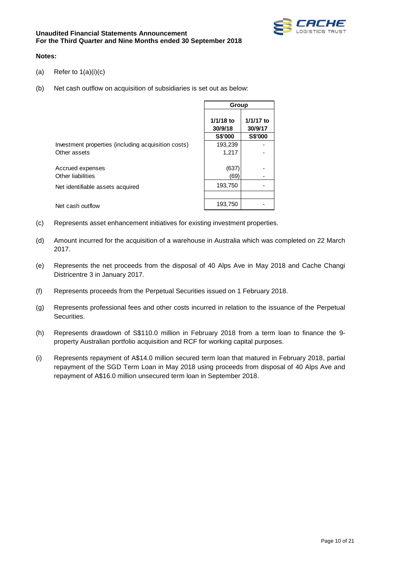

#### **Notes:**

- (a) Refer to  $1(a)(i)(c)$
- (b) Net cash outflow on acquisition of subsidiaries is set out as below:

|                                                     | Group                             |                                 |
|-----------------------------------------------------|-----------------------------------|---------------------------------|
|                                                     | $1/1/18$ to<br>30/9/18<br>S\$'000 | 1/1/17 to<br>30/9/17<br>S\$'000 |
| Investment properties (including acquisition costs) | 193,239                           |                                 |
| Other assets                                        | 1,217                             |                                 |
| Accrued expenses<br>Other liabilities               | (637)<br>(69)                     |                                 |
| Net identifiable assets acquired                    | 193,750                           |                                 |
|                                                     | 193,750                           |                                 |
| Net cash outflow                                    |                                   |                                 |

- (c) Represents asset enhancement initiatives for existing investment properties.
- (d) Amount incurred for the acquisition of a warehouse in Australia which was completed on 22 March 2017.
- (e) Represents the net proceeds from the disposal of 40 Alps Ave in May 2018 and Cache Changi Districentre 3 in January 2017.
- (f) Represents proceeds from the Perpetual Securities issued on 1 February 2018.
- (g) Represents professional fees and other costs incurred in relation to the issuance of the Perpetual Securities.
- (h) Represents drawdown of S\$110.0 million in February 2018 from a term loan to finance the 9 property Australian portfolio acquisition and RCF for working capital purposes.
- (i) Represents repayment of A\$14.0 million secured term loan that matured in February 2018, partial repayment of the SGD Term Loan in May 2018 using proceeds from disposal of 40 Alps Ave and repayment of A\$16.0 million unsecured term loan in September 2018.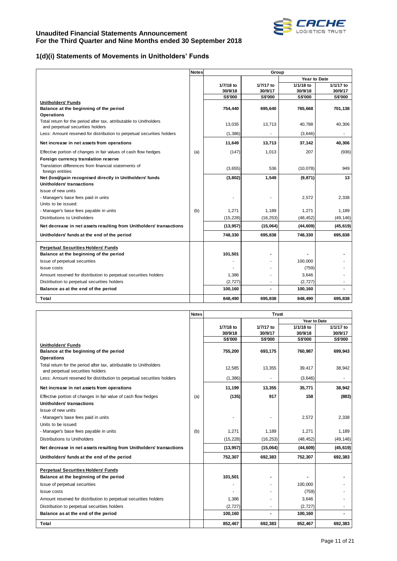

# **1(d)(i) Statements of Movements in Unitholders' Funds**

|                                                                                                        | <b>Notes</b> |           | Group          |                     |                |  |
|--------------------------------------------------------------------------------------------------------|--------------|-----------|----------------|---------------------|----------------|--|
|                                                                                                        |              |           |                | <b>Year to Date</b> |                |  |
|                                                                                                        |              | 1/7/18 to | 1/7/17 to      | 1/1/18 to           | 1/1/17 to      |  |
|                                                                                                        |              | 30/9/18   | 30/9/17        | 30/9/18             | 30/9/17        |  |
| <b>Unitholders' Funds</b>                                                                              |              | S\$'000   | S\$'000        | S\$'000             | <b>S\$'000</b> |  |
| Balance at the beginning of the period                                                                 |              | 754,440   | 695,640        | 765,668             | 701,138        |  |
| <b>Operations</b>                                                                                      |              |           |                |                     |                |  |
| Total return for the period after tax, attributable to Unitholders<br>and perpetual securities holders |              | 13,035    | 13,713         | 40,788              | 40,306         |  |
| Less: Amount reserved for distribution to perpetual securities holders                                 |              | (1,386)   |                | (3,646)             |                |  |
| Net increase in net assets from operations                                                             |              | 11,649    | 13,713         | 37,142              | 40,306         |  |
| Effective portion of changes in fair values of cash flow hedges                                        | (a)          | (147)     | 1,013          | 207                 | (936)          |  |
| Foreign currency translation reserve                                                                   |              |           |                |                     |                |  |
| Translation differences from financial statements of<br>foreign entities                               |              | (3,655)   | 536            | (10,078)            | 949            |  |
| Net (loss)/gain recognised directly in Unitholders' funds                                              |              | (3,802)   | 1,549          | (9, 871)            | 13             |  |
| Unitholders' transactions                                                                              |              |           |                |                     |                |  |
| Issue of new units                                                                                     |              |           |                |                     |                |  |
| - Manager's base fees paid in units                                                                    |              |           | ٠              | 2.572               | 2,338          |  |
| Units to be issued:                                                                                    |              |           |                |                     |                |  |
| - Manager's base fees payable in units                                                                 | (b)          | 1,271     | 1,189          | 1,271               | 1,189          |  |
| Distributions to Unitholders                                                                           |              | (15, 228) | (16, 253)      | (48, 452)           | (49, 146)      |  |
| Net decrease in net assets resulting from Unitholders' transactions                                    |              | (13,957)  | (15,064)       | (44, 609)           | (45, 619)      |  |
| Unitholders' funds at the end of the period                                                            |              | 748,330   | 695,838        | 748,330             | 695,838        |  |
| <b>Perpetual Securities Holders' Funds</b>                                                             |              |           |                |                     |                |  |
| Balance at the beginning of the period                                                                 |              | 101,501   | $\blacksquare$ |                     |                |  |
| Issue of perpetual securities                                                                          |              |           |                | 100,000             |                |  |
| <b>Issue costs</b>                                                                                     |              |           |                | (759)               |                |  |
| Amount reserved for distribution to perpetual securities holders                                       |              | 1,386     |                | 3,646               |                |  |
| Distribution to perpetual securities holders                                                           |              | (2, 727)  |                | (2, 727)            |                |  |
| Balance as at the end of the period                                                                    |              | 100,160   | ä,             | 100,160             |                |  |
| Total                                                                                                  |              | 848,490   | 695,838        | 848,490             | 695,838        |  |

|                                                                                                        | <b>Notes</b> | <b>Trust</b>   |                |                |                |  |
|--------------------------------------------------------------------------------------------------------|--------------|----------------|----------------|----------------|----------------|--|
|                                                                                                        |              |                |                | Year to Date   |                |  |
|                                                                                                        |              | 1/7/18 to      | 1/7/17 to      | 1/1/18 to      | 1/1/17 to      |  |
|                                                                                                        |              | 30/9/18        | 30/9/17        | 30/9/18        | 30/9/17        |  |
| <b>Unitholders' Funds</b>                                                                              |              | <b>S\$'000</b> | <b>S\$'000</b> | <b>S\$'000</b> | <b>S\$'000</b> |  |
| Balance at the beginning of the period                                                                 |              | 755,200        | 693,175        | 760,987        | 699,943        |  |
| <b>Operations</b>                                                                                      |              |                |                |                |                |  |
| Total return for the period after tax, attributable to Unitholders<br>and perpetual securities holders |              | 12,585         | 13,355         | 39,417         | 38,942         |  |
| Less: Amount reserved for distribution to perpetual securities holders                                 |              | (1, 386)       |                | (3,646)        |                |  |
| Net increase in net assets from operations                                                             |              | 11,199         | 13,355         | 35,771         | 38,942         |  |
| Effective portion of changes in fair value of cash flow hedges<br>Unitholders' transactions            | (a)          | (135)          | 917            | 158            | (883)          |  |
| Issue of new units                                                                                     |              |                |                |                |                |  |
| - Manager's base fees paid in units                                                                    |              | ٠              | ۰              | 2,572          | 2,338          |  |
| Units to be issued:                                                                                    |              |                |                |                |                |  |
| - Manager's base fees payable in units                                                                 | (b)          | 1.271          | 1,189          | 1,271          | 1,189          |  |
| Distributions to Unitholders                                                                           |              | (15, 228)      | (16, 253)      | (48, 452)      | (49, 146)      |  |
| Net decrease in net assets resulting from Unitholders' transactions                                    |              | (13, 957)      | (15,064)       | (44, 609)      | (45, 619)      |  |
| Unitholders' funds at the end of the period                                                            |              | 752,307        | 692,383        | 752,307        | 692,383        |  |
| <b>Perpetual Securities Holders' Funds</b>                                                             |              |                |                |                |                |  |
| Balance at the beginning of the period                                                                 |              | 101,501        |                |                |                |  |
| Issue of perpetual securities                                                                          |              |                |                | 100,000        |                |  |
| <b>Issue costs</b>                                                                                     |              |                |                | (759)          |                |  |
| Amount reserved for distribution to perpetual securities holders                                       |              | 1,386          | ٠              | 3,646          |                |  |
| Distribution to perpetual securities holders                                                           |              | (2,727)        |                | (2, 727)       |                |  |
| Balance as at the end of the period                                                                    |              | 100,160        | ٠              | 100,160        |                |  |
| <b>Total</b>                                                                                           |              | 852,467        | 692,383        | 852,467        | 692,383        |  |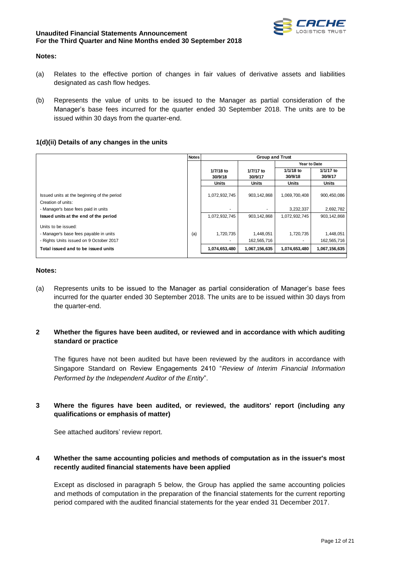

#### **Notes:**

- (a) Relates to the effective portion of changes in fair values of derivative assets and liabilities designated as cash flow hedges.
- (b) Represents the value of units to be issued to the Manager as partial consideration of the Manager's base fees incurred for the quarter ended 30 September 2018. The units are to be issued within 30 days from the quarter-end.

## **1(d)(ii) Details of any changes in the units**

|                                                                                                          | <b>Notes</b> |                                       | <b>Group and Trust</b>   |                      |                          |
|----------------------------------------------------------------------------------------------------------|--------------|---------------------------------------|--------------------------|----------------------|--------------------------|
|                                                                                                          |              |                                       |                          | Year to Date         |                          |
|                                                                                                          |              | 1/7/18 to<br>30/9/18                  | 1/7/17 to<br>30/9/17     | 1/1/18 to<br>30/9/18 | 1/1/17 to<br>30/9/17     |
|                                                                                                          |              | <b>Units</b>                          | <b>Units</b>             | Units                | <b>Units</b>             |
| Issued units at the beginning of the period<br>Creation of units:                                        |              | 1,072,932,745                         | 903.142.868              | 1,069,700,408        | 900,450,086              |
| - Manager's base fees paid in units                                                                      |              | $\overline{\phantom{a}}$              |                          | 3,232,337            | 2,692,782                |
| Issued units at the end of the period                                                                    |              | 1,072,932,745                         | 903,142,868              | 1,072,932,745        | 903, 142, 868            |
| Units to be issued:<br>- Manager's base fees payable in units<br>- Rights Units issued on 9 October 2017 | (a)          | 1,720,735<br>$\overline{\phantom{a}}$ | 1,448,051<br>162,565,716 | 1,720,735            | 1,448,051<br>162,565,716 |
| Total issued and to be issued units                                                                      |              | 1,074,653,480                         | 1,067,156,635            | 1,074,653,480        | 1,067,156,635            |

#### **Notes:**

(a) Represents units to be issued to the Manager as partial consideration of Manager's base fees incurred for the quarter ended 30 September 2018. The units are to be issued within 30 days from the quarter-end.

## **2 Whether the figures have been audited, or reviewed and in accordance with which auditing standard or practice**

The figures have not been audited but have been reviewed by the auditors in accordance with Singapore Standard on Review Engagements 2410 "*Review of Interim Financial Information Performed by the Independent Auditor of the Entity*".

## **3 Where the figures have been audited, or reviewed, the auditors' report (including any qualifications or emphasis of matter)**

See attached auditors' review report.

## **4 Whether the same accounting policies and methods of computation as in the issuer's most recently audited financial statements have been applied**

Except as disclosed in paragraph 5 below, the Group has applied the same accounting policies and methods of computation in the preparation of the financial statements for the current reporting period compared with the audited financial statements for the year ended 31 December 2017.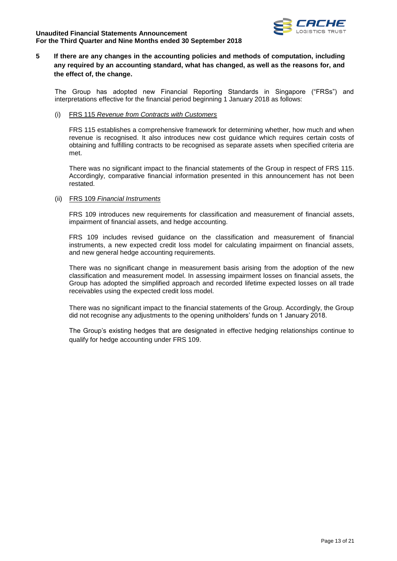

## **5 If there are any changes in the accounting policies and methods of computation, including any required by an accounting standard, what has changed, as well as the reasons for, and the effect of, the change.**

The Group has adopted new Financial Reporting Standards in Singapore ("FRSs") and interpretations effective for the financial period beginning 1 January 2018 as follows:

(i) FRS 115 *Revenue from Contracts with Customers*

FRS 115 establishes a comprehensive framework for determining whether, how much and when revenue is recognised. It also introduces new cost guidance which requires certain costs of obtaining and fulfilling contracts to be recognised as separate assets when specified criteria are met.

There was no significant impact to the financial statements of the Group in respect of FRS 115. Accordingly, comparative financial information presented in this announcement has not been restated.

#### (ii) FRS 109 *Financial Instruments*

FRS 109 introduces new requirements for classification and measurement of financial assets, impairment of financial assets, and hedge accounting.

FRS 109 includes revised guidance on the classification and measurement of financial instruments, a new expected credit loss model for calculating impairment on financial assets, and new general hedge accounting requirements.

There was no significant change in measurement basis arising from the adoption of the new classification and measurement model. In assessing impairment losses on financial assets, the Group has adopted the simplified approach and recorded lifetime expected losses on all trade receivables using the expected credit loss model.

There was no significant impact to the financial statements of the Group. Accordingly, the Group did not recognise any adjustments to the opening unitholders' funds on 1 January 2018.

The Group's existing hedges that are designated in effective hedging relationships continue to qualify for hedge accounting under FRS 109.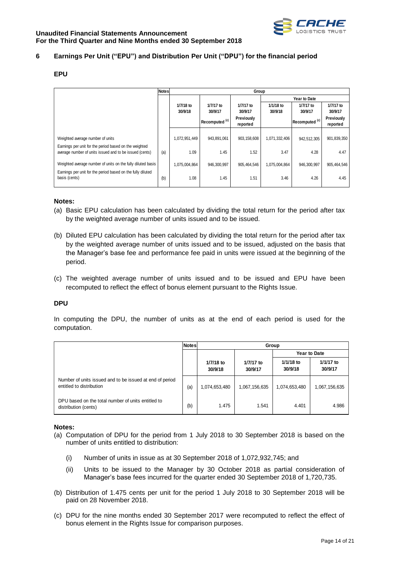

## **6 Earnings Per Unit ("EPU") and Distribution Per Unit ("DPU") for the financial period**

#### **EPU**

|                                                                                                                  | <b>Notes</b> | Group                |                           |                        |                      |                           |                        |  |  |  |
|------------------------------------------------------------------------------------------------------------------|--------------|----------------------|---------------------------|------------------------|----------------------|---------------------------|------------------------|--|--|--|
|                                                                                                                  |              |                      |                           |                        |                      | <b>Year to Date</b>       |                        |  |  |  |
|                                                                                                                  |              | 1/7/18 to<br>30/9/18 | 1/7/17 to<br>30/9/17      | 1/7/17 to<br>30/9/17   | 1/1/18 to<br>30/9/18 | 1/7/17 to<br>30/9/17      | 1/7/17 to<br>30/9/17   |  |  |  |
|                                                                                                                  |              |                      | Recomputed <sup>(c)</sup> | Previously<br>reported |                      | Recomputed <sup>(c)</sup> | Previously<br>reported |  |  |  |
| Weighted average number of units                                                                                 |              | 1,072,951,449        | 943,891,061               | 903,158,608            | 1,071,332,406        | 942,512,305               | 901,839,350            |  |  |  |
| Eamings per unit for the period based on the weighted<br>average number of units issued and to be issued (cents) | (a)          | 1.09                 | 1.45                      | 1.52                   | 3.47                 | 4.28                      | 4.47                   |  |  |  |
| Weighted average number of units on the fully diluted basis                                                      |              | 1,075,004,864        | 946,300,997               | 905.464.546            | 1,075,004,864        | 946.300.997               | 905,464,546            |  |  |  |
| Earnings per unit for the period based on the fully diluted<br>basis (cents)                                     | (b)          | 1.08                 | 1.45                      | 1.51                   | 3.46                 | 4.26                      | 4.45                   |  |  |  |

#### **Notes:**

- (a) Basic EPU calculation has been calculated by dividing the total return for the period after tax by the weighted average number of units issued and to be issued.
- (b) Diluted EPU calculation has been calculated by dividing the total return for the period after tax by the weighted average number of units issued and to be issued, adjusted on the basis that the Manager's base fee and performance fee paid in units were issued at the beginning of the period.
- (c) The weighted average number of units issued and to be issued and EPU have been recomputed to reflect the effect of bonus element pursuant to the Rights Issue.

#### **DPU**

In computing the DPU, the number of units as at the end of each period is used for the computation.

|                                                                                      | <b>Notes</b> | Group                |                      |                      |                      |
|--------------------------------------------------------------------------------------|--------------|----------------------|----------------------|----------------------|----------------------|
|                                                                                      |              | <b>Year to Date</b>  |                      |                      |                      |
|                                                                                      |              | 1/7/18 to<br>30/9/18 | 1/7/17 to<br>30/9/17 | 1/1/18 to<br>30/9/18 | 1/1/17 to<br>30/9/17 |
| Number of units issued and to be issued at end of period<br>entitled to distribution | (a)          | 1,074,653,480        | 1,067,156,635        | 1,074,653,480        | 1,067,156,635        |
| DPU based on the total number of units entitled to<br>distribution (cents)           | (b)          | 1.475                | 1.541                | 4.401                | 4.986                |

#### **Notes:**

- (a) Computation of DPU for the period from 1 July 2018 to 30 September 2018 is based on the number of units entitled to distribution:
	- (i) Number of units in issue as at 30 September 2018 of 1,072,932,745; and
	- (ii) Units to be issued to the Manager by 30 October 2018 as partial consideration of Manager's base fees incurred for the quarter ended 30 September 2018 of 1,720,735.
- (b) Distribution of 1.475 cents per unit for the period 1 July 2018 to 30 September 2018 will be paid on 28 November 2018.
- (c) DPU for the nine months ended 30 September 2017 were recomputed to reflect the effect of bonus element in the Rights Issue for comparison purposes.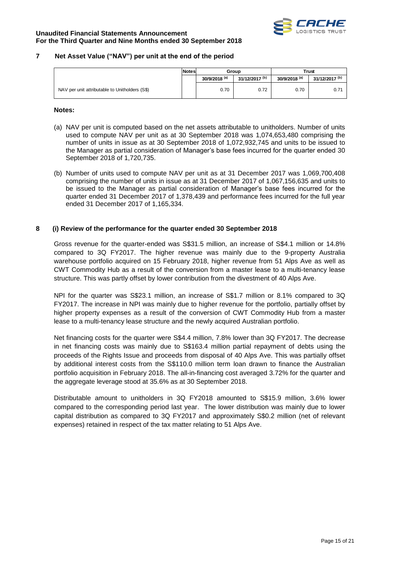

#### **7 Net Asset Value ("NAV") per unit at the end of the period**

|                                                | Notes | Group                    |                           | <b>Trust</b>             |                           |
|------------------------------------------------|-------|--------------------------|---------------------------|--------------------------|---------------------------|
|                                                |       | 30/9/2018 <sup>(a)</sup> | 31/12/2017 <sup>(b)</sup> | 30/9/2018 <sup>(a)</sup> | 31/12/2017 <sup>(b)</sup> |
| NAV per unit attributable to Unitholders (S\$) |       | 0.70                     | 0.72                      | 0.70                     | 0.71                      |

#### **Notes:**

- (a) NAV per unit is computed based on the net assets attributable to unitholders. Number of units used to compute NAV per unit as at 30 September 2018 was 1,074,653,480 comprising the number of units in issue as at 30 September 2018 of 1,072,932,745 and units to be issued to the Manager as partial consideration of Manager's base fees incurred for the quarter ended 30 September 2018 of 1,720,735.
- (b) Number of units used to compute NAV per unit as at 31 December 2017 was 1,069,700,408 comprising the number of units in issue as at 31 December 2017 of 1,067,156,635 and units to be issued to the Manager as partial consideration of Manager's base fees incurred for the quarter ended 31 December 2017 of 1,378,439 and performance fees incurred for the full year ended 31 December 2017 of 1,165,334.

#### **8 (i) Review of the performance for the quarter ended 30 September 2018**

Gross revenue for the quarter-ended was S\$31.5 million, an increase of S\$4.1 million or 14.8% compared to 3Q FY2017. The higher revenue was mainly due to the 9-property Australia warehouse portfolio acquired on 15 February 2018, higher revenue from 51 Alps Ave as well as CWT Commodity Hub as a result of the conversion from a master lease to a multi-tenancy lease structure. This was partly offset by lower contribution from the divestment of 40 Alps Ave.

NPI for the quarter was S\$23.1 million, an increase of S\$1.7 million or 8.1% compared to 3Q FY2017. The increase in NPI was mainly due to higher revenue for the portfolio, partially offset by higher property expenses as a result of the conversion of CWT Commodity Hub from a master lease to a multi-tenancy lease structure and the newly acquired Australian portfolio.

Net financing costs for the quarter were S\$4.4 million, 7.8% lower than 3Q FY2017. The decrease in net financing costs was mainly due to S\$163.4 million partial repayment of debts using the proceeds of the Rights Issue and proceeds from disposal of 40 Alps Ave. This was partially offset by additional interest costs from the S\$110.0 million term loan drawn to finance the Australian portfolio acquisition in February 2018. The all-in-financing cost averaged 3.72% for the quarter and the aggregate leverage stood at 35.6% as at 30 September 2018.

Distributable amount to unitholders in 3Q FY2018 amounted to S\$15.9 million, 3.6% lower compared to the corresponding period last year. The lower distribution was mainly due to lower capital distribution as compared to 3Q FY2017 and approximately S\$0.2 million (net of relevant expenses) retained in respect of the tax matter relating to 51 Alps Ave.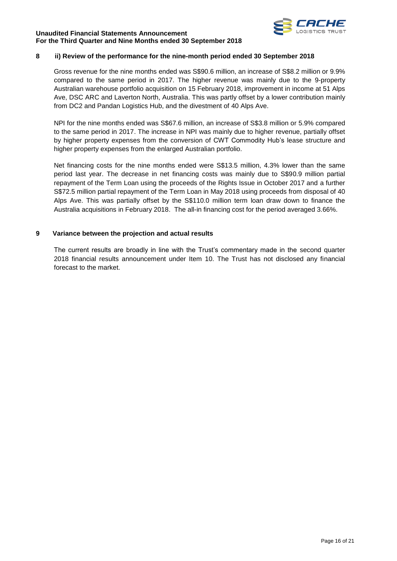

## **8 ii) Review of the performance for the nine-month period ended 30 September 2018**

Gross revenue for the nine months ended was S\$90.6 million, an increase of S\$8.2 million or 9.9% compared to the same period in 2017. The higher revenue was mainly due to the 9-property Australian warehouse portfolio acquisition on 15 February 2018, improvement in income at 51 Alps Ave, DSC ARC and Laverton North, Australia. This was partly offset by a lower contribution mainly from DC2 and Pandan Logistics Hub, and the divestment of 40 Alps Ave.

NPI for the nine months ended was S\$67.6 million, an increase of S\$3.8 million or 5.9% compared to the same period in 2017. The increase in NPI was mainly due to higher revenue, partially offset by higher property expenses from the conversion of CWT Commodity Hub's lease structure and higher property expenses from the enlarged Australian portfolio.

Net financing costs for the nine months ended were S\$13.5 million, 4.3% lower than the same period last year. The decrease in net financing costs was mainly due to S\$90.9 million partial repayment of the Term Loan using the proceeds of the Rights Issue in October 2017 and a further S\$72.5 million partial repayment of the Term Loan in May 2018 using proceeds from disposal of 40 Alps Ave. This was partially offset by the S\$110.0 million term loan draw down to finance the Australia acquisitions in February 2018. The all-in financing cost for the period averaged 3.66%.

## **9 Variance between the projection and actual results**

The current results are broadly in line with the Trust's commentary made in the second quarter 2018 financial results announcement under Item 10. The Trust has not disclosed any financial forecast to the market.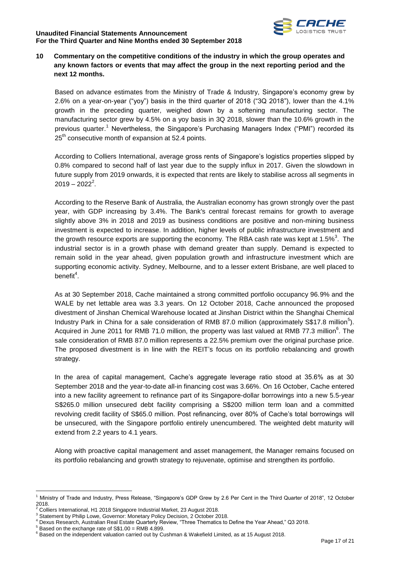

## **10 Commentary on the competitive conditions of the industry in which the group operates and any known factors or events that may affect the group in the next reporting period and the next 12 months.**

Based on advance estimates from the Ministry of Trade & Industry, Singapore's economy grew by 2.6% on a year-on-year ("yoy") basis in the third quarter of 2018 ("3Q 2018"), lower than the 4.1% growth in the preceding quarter, weighed down by a softening manufacturing sector. The manufacturing sector grew by 4.5% on a yoy basis in 3Q 2018, slower than the 10.6% growth in the previous quarter.<sup>1</sup> Nevertheless, the Singapore's Purchasing Managers Index ("PMI") recorded its 25<sup>th</sup> consecutive month of expansion at 52.4 points.

According to Colliers International, average gross rents of Singapore's logistics properties slipped by 0.8% compared to second half of last year due to the supply influx in 2017. Given the slowdown in future supply from 2019 onwards, it is expected that rents are likely to stabilise across all segments in  $2019 - 2022^2$ .

According to the Reserve Bank of Australia, the Australian economy has grown strongly over the past year, with GDP increasing by 3.4%. The Bank's central forecast remains for growth to average slightly above 3% in 2018 and 2019 as business conditions are positive and non-mining business investment is expected to increase. In addition, higher levels of public infrastructure investment and the growth resource exports are supporting the economy. The RBA cash rate was kept at 1.5%<sup>3</sup>. The industrial sector is in a growth phase with demand greater than supply. Demand is expected to remain solid in the year ahead, given population growth and infrastructure investment which are supporting economic activity. Sydney, Melbourne, and to a lesser extent Brisbane, are well placed to benefit $4$ .

As at 30 September 2018, Cache maintained a strong committed portfolio occupancy 96.9% and the WALE by net lettable area was 3.3 years. On 12 October 2018, Cache announced the proposed divestment of Jinshan Chemical Warehouse located at Jinshan District within the Shanghai Chemical Industry Park in China for a sale consideration of RMB 87.0 million (approximately S\$17.8 million<sup>5</sup>). Acquired in June 2011 for RMB 71.0 million, the property was last valued at RMB 77.3 million<sup>6</sup>. The sale consideration of RMB 87.0 million represents a 22.5% premium over the original purchase price. The proposed divestment is in line with the REIT's focus on its portfolio rebalancing and growth strategy.

In the area of capital management, Cache's aggregate leverage ratio stood at 35.6% as at 30 September 2018 and the year-to-date all-in financing cost was 3.66%. On 16 October, Cache entered into a new facility agreement to refinance part of its Singapore-dollar borrowings into a new 5.5-year S\$265.0 million unsecured debt facility comprising a S\$200 million term loan and a committed revolving credit facility of S\$65.0 million. Post refinancing, over 80% of Cache's total borrowings will be unsecured, with the Singapore portfolio entirely unencumbered. The weighted debt maturity will extend from 2.2 years to 4.1 years.

Along with proactive capital management and asset management, the Manager remains focused on its portfolio rebalancing and growth strategy to rejuvenate, optimise and strengthen its portfolio.

1

<sup>1</sup> Ministry of Trade and Industry, Press Release, "Singapore's GDP Grew by 2.6 Per Cent in the Third Quarter of 2018", 12 October 2018.

<sup>2</sup> Colliers International, H1 2018 Singapore Industrial Market, 23 August 2018.

<sup>&</sup>lt;sup>3</sup> Statement by Philip Lowe, Governor: Monetary Policy Decision, 2 October 2018.

<sup>4</sup> Dexus Research, Australian Real Estate Quarterly Review, "Three Thematics to Define the Year Ahead," Q3 2018.

<sup>5</sup> Based on the exchange rate of S\$1.00 = RMB 4.899.

<sup>6</sup> Based on the independent valuation carried out by Cushman & Wakefield Limited, as at 15 August 2018.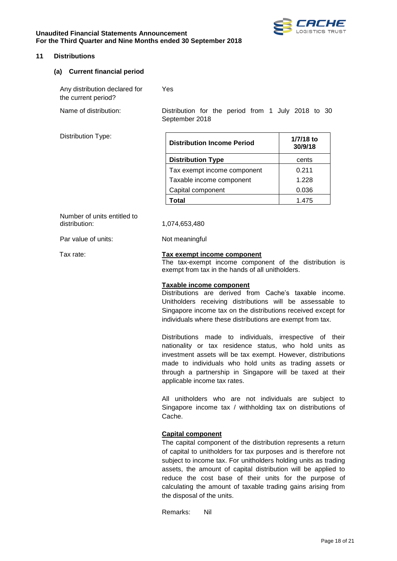



#### **11 Distributions**

#### **(a) Current financial period**

Any distribution declared for the current period? Yes Name of distribution: Distribution for the period from 1 July 2018 to 30

September 2018

Distribution Type:

| <b>Distribution Income Period</b> | 1/7/18 to<br>30/9/18 |
|-----------------------------------|----------------------|
| <b>Distribution Type</b>          | cents                |
| Tax exempt income component       | 0.211                |
| Taxable income component          | 1.228                |
| Capital component                 | 0.036                |
| Total                             | 1475                 |

Number of units entitled to distribution: 1,074,653,480

Par value of units: Not meaningful

#### Tax rate: **Tax exempt income component**

The tax-exempt income component of the distribution is exempt from tax in the hands of all unitholders.

#### **Taxable income component**

Distributions are derived from Cache's taxable income. Unitholders receiving distributions will be assessable to Singapore income tax on the distributions received except for individuals where these distributions are exempt from tax.

Distributions made to individuals, irrespective of their nationality or tax residence status, who hold units as investment assets will be tax exempt. However, distributions made to individuals who hold units as trading assets or through a partnership in Singapore will be taxed at their applicable income tax rates.

All unitholders who are not individuals are subject to Singapore income tax / withholding tax on distributions of Cache.

#### **Capital component**

The capital component of the distribution represents a return of capital to unitholders for tax purposes and is therefore not subject to income tax. For unitholders holding units as trading assets, the amount of capital distribution will be applied to reduce the cost base of their units for the purpose of calculating the amount of taxable trading gains arising from the disposal of the units.

Remarks: Nil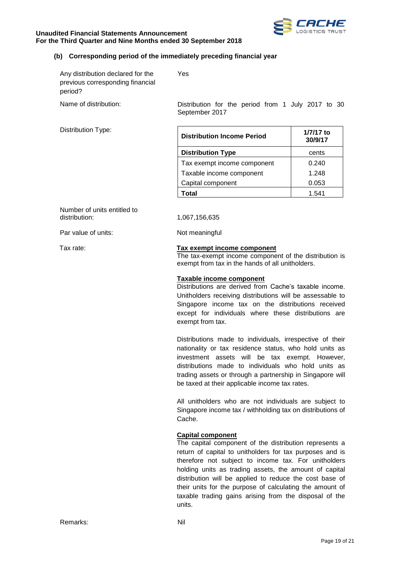



## **(b) Corresponding period of the immediately preceding financial year**

| Any distribution declared for the | Yes |
|-----------------------------------|-----|
| previous corresponding financial  |     |
| period?                           |     |

Distribution Type:

Name of distribution: Distribution for the period from 1 July 2017 to 30 September 2017

| <b>Distribution Income Period</b> | 1/7/17 to<br>30/9/17 |
|-----------------------------------|----------------------|
| <b>Distribution Type</b>          | cents                |
| Tax exempt income component       | 0.240                |
| Taxable income component          | 1.248                |
| Capital component                 | 0.053                |
| Total                             | 1.541                |

Number of units entitled to<br>distribution:

Par value of units: Not meaningful

distribution: 1,067,156,635

#### Tax rate: **Tax exempt income component**

The tax-exempt income component of the distribution is exempt from tax in the hands of all unitholders.

#### **Taxable income component**

Distributions are derived from Cache's taxable income. Unitholders receiving distributions will be assessable to Singapore income tax on the distributions received except for individuals where these distributions are exempt from tax.

Distributions made to individuals, irrespective of their nationality or tax residence status, who hold units as investment assets will be tax exempt. However, distributions made to individuals who hold units as trading assets or through a partnership in Singapore will be taxed at their applicable income tax rates.

All unitholders who are not individuals are subject to Singapore income tax / withholding tax on distributions of Cache.

#### **Capital component**

The capital component of the distribution represents a return of capital to unitholders for tax purposes and is therefore not subject to income tax. For unitholders holding units as trading assets, the amount of capital distribution will be applied to reduce the cost base of their units for the purpose of calculating the amount of taxable trading gains arising from the disposal of the units.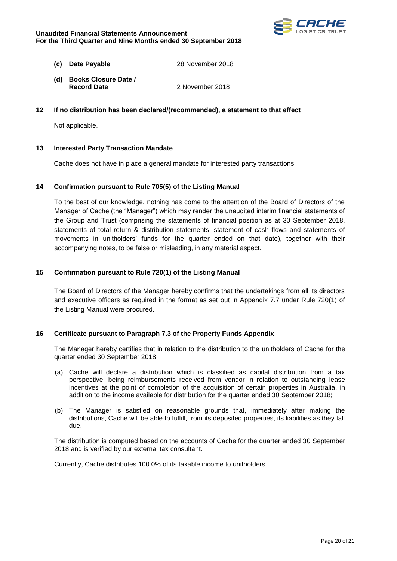

- **(c) Date Payable** 28 November 2018
- **(d) Books Closure Date / Record Date** 2 November 2018

## **12 If no distribution has been declared/(recommended), a statement to that effect**

Not applicable.

## **13 Interested Party Transaction Mandate**

Cache does not have in place a general mandate for interested party transactions.

#### **14 Confirmation pursuant to Rule 705(5) of the Listing Manual**

To the best of our knowledge, nothing has come to the attention of the Board of Directors of the Manager of Cache (the "Manager") which may render the unaudited interim financial statements of the Group and Trust (comprising the statements of financial position as at 30 September 2018, statements of total return & distribution statements, statement of cash flows and statements of movements in unitholders' funds for the quarter ended on that date), together with their accompanying notes, to be false or misleading, in any material aspect.

#### **15 Confirmation pursuant to Rule 720(1) of the Listing Manual**

The Board of Directors of the Manager hereby confirms that the undertakings from all its directors and executive officers as required in the format as set out in Appendix 7.7 under Rule 720(1) of the Listing Manual were procured.

#### **16 Certificate pursuant to Paragraph 7.3 of the Property Funds Appendix**

The Manager hereby certifies that in relation to the distribution to the unitholders of Cache for the quarter ended 30 September 2018:

- (a) Cache will declare a distribution which is classified as capital distribution from a tax perspective, being reimbursements received from vendor in relation to outstanding lease incentives at the point of completion of the acquisition of certain properties in Australia, in addition to the income available for distribution for the quarter ended 30 September 2018;
- (b) The Manager is satisfied on reasonable grounds that, immediately after making the distributions, Cache will be able to fulfill, from its deposited properties, its liabilities as they fall due.

The distribution is computed based on the accounts of Cache for the quarter ended 30 September 2018 and is verified by our external tax consultant.

Currently, Cache distributes 100.0% of its taxable income to unitholders.